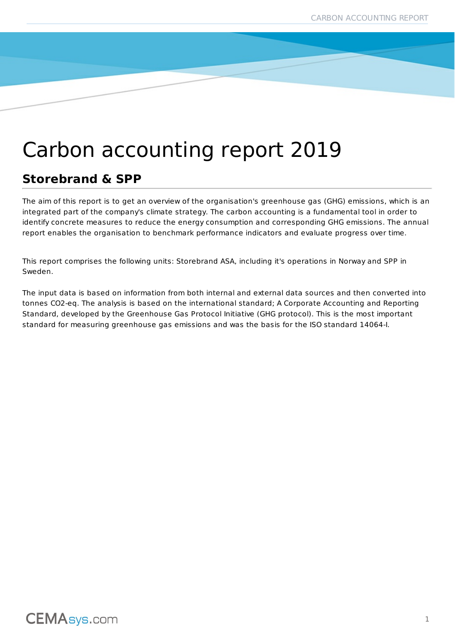# Carbon accounting report 2019

### **Storebrand & SPP**

The aim of this report is to get an overview of the organisation's greenhouse gas (GHG) emissions, which is an integrated part of the company's climate strategy. The carbon accounting is a fundamental tool in order to identify concrete measures to reduce the energy consumption and corresponding GHG emissions. The annual report enables the organisation to benchmark performance indicators and evaluate progress over time.

This report comprises the following units: Storebrand ASA, including it's operations in Norway and SPP in Sweden.

The input data is based on information from both internal and external data sources and then converted into tonnes CO2-eq. The analysis is based on the international standard; A Corporate Accounting and Reporting Standard, developed by the Greenhouse Gas Protocol Initiative (GHG protocol). This is the most important standard for measuring greenhouse gas emissions and was the basis for the ISO standard 14064-I.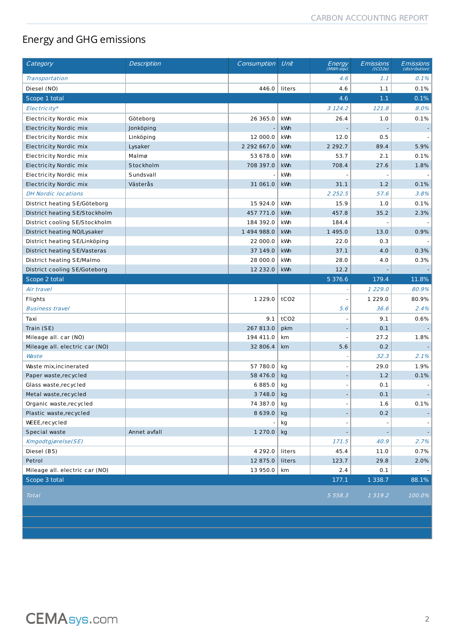### Energy and GHG emissions

| Category                       | <b>Description</b> | Consumption | Unit             | Energy<br>(MWh eqv) | <b>Emissions</b><br>(tCO2e) | Emissions<br>(distribution) |
|--------------------------------|--------------------|-------------|------------------|---------------------|-----------------------------|-----------------------------|
| Transportation                 |                    |             |                  | 4.6                 | 1.1                         | 0.1%                        |
| Diesel (NO)                    |                    | 446.0       | liters           | 4.6                 | 1.1                         | 0.1%                        |
| Scope 1 total                  |                    |             |                  | 4.6                 | 1.1                         | 0.1%                        |
| Electricity*                   |                    |             |                  | 3 1 2 4 . 2         | 121.8                       | 8.0%                        |
| Electricity Nordic mix         | Göteborg           | 26 365.0    | kWh              | 26.4                | 1.0                         | 0.1%                        |
| <b>Electricity Nordic mix</b>  | Jonköping          |             | kWh              |                     |                             |                             |
| Electricity Nordic mix         | Linköping          | 12 000.0    | kWh              | 12.0                | 0.5                         |                             |
| Electricity Nordic mix         | Lysaker            | 2 292 667.0 | kWh              | 2 2 9 2 . 7         | 89.4                        | 5.9%                        |
| Electricity Nordic mix         | Malmø              | 53 678.0    | kWh              | 53.7                | 2.1                         | 0.1%                        |
| Electricity Nordic mix         | Stockholm          | 708 397.0   | kWh              | 708.4               | 27.6                        | 1.8%                        |
| Electricity Nordic mix         | Sundsvall          |             | kWh              |                     |                             |                             |
| <b>Electricity Nordic mix</b>  | Västerås           | 31 061.0    | kWh              | 31.1                | 1.2                         | 0.1%                        |
| <b>DH Nordic locations</b>     |                    |             |                  | 2 2 5 2 . 5         | 57.6                        | 3.8%                        |
| District heating SE/Göteborg   |                    | 15 924.0    | kWh              | 15.9                | 1.0                         | 0.1%                        |
| District heating SE/Stockholm  |                    | 457 771.0   | kWh              | 457.8               | 35.2                        | 2.3%                        |
| District cooling SE/Stockholm  |                    | 184 392.0   | kWn              | 184.4               |                             |                             |
| District heating NO/Lysaker    |                    | 1 494 988.0 | kWh              | 1 4 9 5 . 0         | 13.0                        | 0.9%                        |
| District heating SE/Linköping  |                    | 22 000.0    | kWh              | 22.0                | 0.3                         |                             |
| District heating SE/Vasteras   |                    | 37 149.0    | kWh              | 37.1                | 4.0                         | 0.3%                        |
| District heating SE/Malmo      |                    | 28 000.0    | kWh              | 28.0                | 4.0                         | 0.3%                        |
| District cooling SE/Goteborg   |                    | 12 232.0    | kWh              | 12.2                |                             |                             |
| Scope 2 total                  |                    |             |                  | 5 3 7 6 . 6         | 179.4                       | 11.8%                       |
| Air travel                     |                    |             |                  |                     | 1 229.0                     | 80.9%                       |
| Flights                        |                    | 1 2 2 9 . 0 | tCO <sub>2</sub> |                     | 1 2 2 9 . 0                 | 80.9%                       |
| <b>Business travel</b>         |                    |             |                  | 5.6                 | 36.6                        | 2.4%                        |
| Taxi                           |                    | 9.1         | tCO <sub>2</sub> |                     | 9.1                         | 0.6%                        |
| Train (SE)                     |                    | 267 813.0   | pkm              |                     | 0.1                         |                             |
| Mileage all. car (NO)          |                    | 194 411.0   | km               |                     | 27.2                        | 1.8%                        |
| Mileage all. electric car (NO) |                    | 32 806.4    | km               | 5.6                 | 0.2                         |                             |
| Waste                          |                    |             |                  |                     | 32.3                        | 2.1%                        |
| Waste mix, incinerated         |                    | 57 780.0    | kg               |                     | 29.0                        | 1.9%                        |
| Paper waste, recycled          |                    | 58 476.0    | kg               |                     | 1.2                         | 0.1%                        |
| Glass waste, recycled          |                    | 6885.0      | kg               |                     | 0.1                         |                             |
| Metal waste, recycled          |                    | 3 748.0     | kg               |                     | 0.1                         | ٠                           |
| Organic waste, recycled        |                    | 74 387.0    | kg               |                     | $1.6\,$                     | 0.1%                        |
| Plastic waste, recycled        |                    | 8 6 3 9 . 0 | kg               |                     | 0.2                         |                             |
| WEEE, recycled                 |                    |             | kg               |                     |                             |                             |
| Special waste                  | Annet avfall       | 1 270.0     | kg               |                     |                             |                             |
| Kmgodtgjørelse(SE)             |                    |             |                  | 171.5               | 40.9                        | 2.7%                        |
| Diesel (B5)                    |                    | 4 2 9 2 . 0 | liters           | 45.4                | 11.0                        | 0.7%                        |
| Petrol                         |                    | 12 875.0    | liters           | 123.7               | 29.8                        | 2.0%                        |
| Mileage all. electric car (NO) |                    | 13 950.0    | km               | 2.4                 | 0.1                         |                             |
| Scope 3 total                  |                    |             |                  | 177.1               | 1 3 3 8 . 7                 | 88.1%                       |
| <b>Total</b>                   |                    |             |                  | 5 5 5 8 . 3         | 1 519.2                     | 100.0%                      |
|                                |                    |             |                  |                     |                             |                             |
|                                |                    |             |                  |                     |                             |                             |
|                                |                    |             |                  |                     |                             |                             |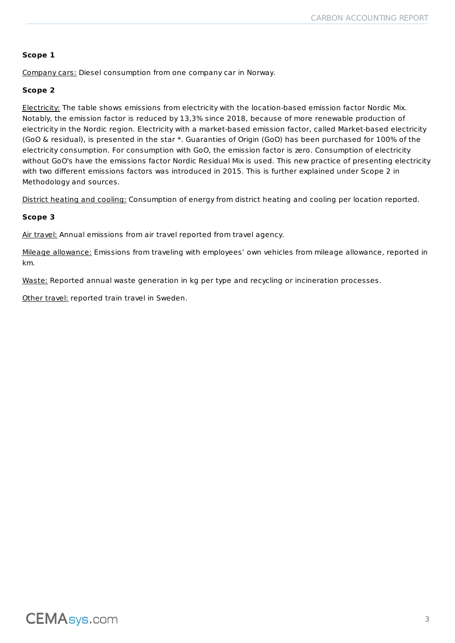#### **Scope 1**

Company cars: Diesel consumption from one company car in Norway.

#### **Scope 2**

Electricity: The table shows emissions from electricity with the location-based emission factor Nordic Mix. Notably, the emission factor is reduced by 13,3% since 2018, because of more renewable production of electricity in the Nordic region. Electricity with a market-based emission factor, called Market-based electricity (GoO & residual), is presented in the star \*. Guaranties of Origin (GoO) has been purchased for 100% of the electricity consumption. For consumption with GoO, the emission factor is zero. Consumption of electricity without GoO's have the emissions factor Nordic Residual Mix is used. This new practice of presenting electricity with two different emissions factors was introduced in 2015. This is further explained under Scope 2 in Methodology and sources.

District heating and cooling: Consumption of energy from district heating and cooling per location reported.

#### **Scope 3**

Air travel: Annual emissions from air travel reported from travel agency.

Mileage allowance: Emissions from traveling with employees' own vehicles from mileage allowance, reported in km.

Waste: Reported annual waste generation in kg per type and recycling or incineration processes.

Other travel: reported train travel in Sweden.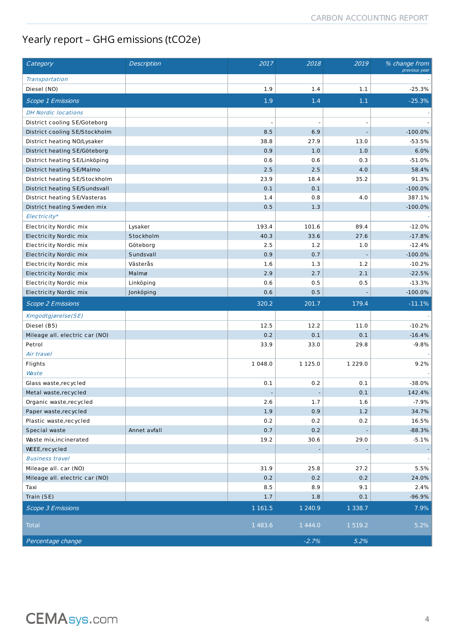### Yearly report – GHG emissions (tCO2e)

| Category                       | Description  | 2017       | 2018       | 2019        | % change from<br>previous year                                                              |
|--------------------------------|--------------|------------|------------|-------------|---------------------------------------------------------------------------------------------|
| Transportation                 |              |            |            |             |                                                                                             |
| Diesel (NO)                    |              | 1.9        | 1.4        | $1.1\,$     | $-25.3%$                                                                                    |
| <b>Scope 1 Emissions</b>       |              | 1.9        | 1.4        | 1.1         | $-25.3%$                                                                                    |
| <b>DH Nordic locations</b>     |              |            |            |             |                                                                                             |
| District cooling SE/Goteborg   |              | ÷,         |            |             |                                                                                             |
| District cooling SE/Stockholm  |              | 8.5        | 6.9        |             | $-100.0%$                                                                                   |
| District heating NO/Lysaker    |              | 38.8       | 27.9       | 13.0        | $-53.5%$                                                                                    |
| District heating SE/Göteborg   |              | 0.9        | 1.0        | 1.0         | 6.0%                                                                                        |
| District heating SE/Linköping  |              | 0.6        | 0.6        | 0.3         | $-51.0%$                                                                                    |
| District heating SE/Malmo      |              | 2.5        | 2.5        | 4.0         | 58.4%                                                                                       |
| District heating SE/Stockholm  |              | 23.9       | 18.4       | 35.2        | 91.3%                                                                                       |
| District heating SE/Sundsvall  |              | 0.1        | 0.1        |             | $-100.0\%$                                                                                  |
| District heating SE/Vasteras   |              | 1.4        | 0.8        | 4.0         | 387.1%                                                                                      |
| District heating Sweden mix    |              | 0.5        | 1.3        |             | $-100.0\%$                                                                                  |
| Electricity*                   |              |            |            |             |                                                                                             |
| Electricity Nordic mix         | Lysaker      | 193.4      | 101.6      | 89.4        | $-12.0%$                                                                                    |
| <b>Electricity Nordic mix</b>  | Stockholm    | 40.3       | 33.6       | 27.6        | $-17.8%$                                                                                    |
| <b>Electricity Nordic mix</b>  | Göteborg     | 2.5        | 1.2        | 1.0         | $-12.4%$                                                                                    |
| <b>Electricity Nordic mix</b>  | Sundsvall    | 0.9        | 0.7        |             | $-100.0%$                                                                                   |
| Electricity Nordic mix         | Västerås     | 1.6        | 1.3        | 1.2         | $-10.2%$                                                                                    |
| <b>Electricity Nordic mix</b>  | Malmø        | 2.9        | 2.7        | 2.1         | $-22.5%$                                                                                    |
| Electricity Nordic mix         | Linköping    | 0.6        | 0.5        | 0.5         | $-13.3\%$                                                                                   |
| <b>Electricity Nordic mix</b>  | Jonköping    | 0.6        | 0.5        |             | $-100.0\%$                                                                                  |
|                                |              | 320.2      | 201.7      | 179.4       | $-11.1%$                                                                                    |
| <b>Scope 2 Emissions</b>       |              |            |            |             |                                                                                             |
| Kmgodtgjørelse(SE)             |              |            |            |             |                                                                                             |
| Diesel (B5)                    |              | 12.5       | 12.2       | 11.0        | $-10.2%$                                                                                    |
| Mileage all. electric car (NO) |              | 0.2        | 0.1        | 0.1         | $-16.4%$                                                                                    |
| Petrol                         |              | 33.9       | 33.0       | 29.8        | $-9.8%$                                                                                     |
| Air travel                     |              |            |            |             |                                                                                             |
| Flights                        |              | 1 048.0    | 1 125.0    | 1 2 2 9 . 0 | 9.2%                                                                                        |
| <b>Waste</b>                   |              |            |            |             |                                                                                             |
| Glass waste, recycled          |              | 0.1        | 0.2        | 0.1         | $-38.0\%$                                                                                   |
| Metal waste, recycled          |              |            |            | 0.1         | 142.4%                                                                                      |
| Organic waste, recycled        |              | 2.6        | 1.7        | 1.6         |                                                                                             |
| Paper waste, recycled          |              | 1.9        | 0.9        | 1.2         |                                                                                             |
| Plastic waste, recycled        |              | 0.2        | 0.2        | 0.2         |                                                                                             |
| Special waste                  | Annet avfall | 0.7        | 0.2        |             |                                                                                             |
| Waste mix, incinerated         |              | 19.2       | 30.6       | 29.0        |                                                                                             |
| WEEE, recycled                 |              |            |            |             |                                                                                             |
| <b>Business travel</b>         |              |            |            |             |                                                                                             |
| Mileage all. car (NO)          |              | 31.9       | 25.8       | 27.2        |                                                                                             |
| Mileage all. electric car (NO) |              | 0.2        | 0.2        | 0.2         |                                                                                             |
| Taxi                           |              | 8.5        | 8.9        | 9.1         |                                                                                             |
| Train (SE)                     |              | 1.7        | 1.8        | $0.1\,$     |                                                                                             |
| <b>Scope 3 Emissions</b>       |              | 1 1 6 1 .5 | 1 2 4 0.9  | 1 3 3 8 . 7 | -7.9%<br>34.7%<br>16.5%<br>$-88.3%$<br>$-5.1%$<br>5.5%<br>24.0%<br>2.4%<br>$-96.9%$<br>7.9% |
| <b>Total</b>                   |              | 1 483.6    | 1 4 4 4 .0 | 1 5 1 9 . 2 | 5.2%                                                                                        |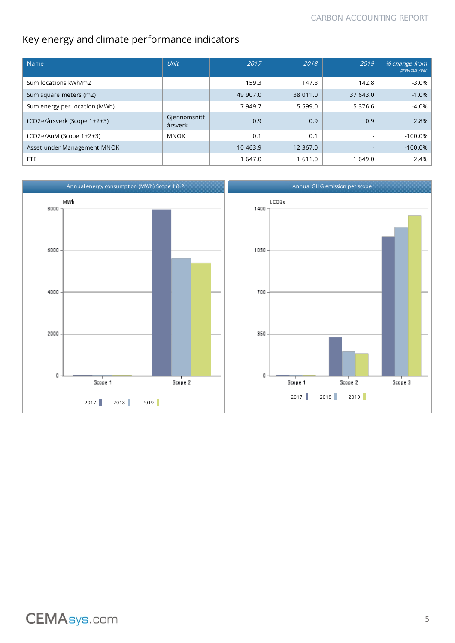### Key energy and climate performance indicators

| Name                          | Unit                    | 2017      | 2018        | 2019                     | % change from<br>previous year |
|-------------------------------|-------------------------|-----------|-------------|--------------------------|--------------------------------|
| Sum locations kWh/m2          |                         | 159.3     | 147.3       | 142.8                    | $-3.0%$                        |
| Sum square meters (m2)        |                         | 49 907.0  | 38 011.0    | 37 643.0                 | $-1.0%$                        |
| Sum energy per location (MWh) |                         | 7 949.7   | 5 5 9 9 . 0 | 5 376.6                  | $-4.0%$                        |
| tCO2e/årsverk (Scope 1+2+3)   | Gjennomsnitt<br>årsverk | 0.9       | 0.9         | 0.9                      | 2.8%                           |
| $tCO2e/AuM$ (Scope $1+2+3$ )  | <b>MNOK</b>             | 0.1       | 0.1         | $\overline{\phantom{0}}$ | $-100.0%$                      |
| Asset under Management MNOK   |                         | 10 4 63.9 | 12 3 6 7.0  | $\overline{\phantom{0}}$ | $-100.0%$                      |
| FTE                           |                         | 1 647.0   | 611.0       | 1 649.0                  | 2.4%                           |

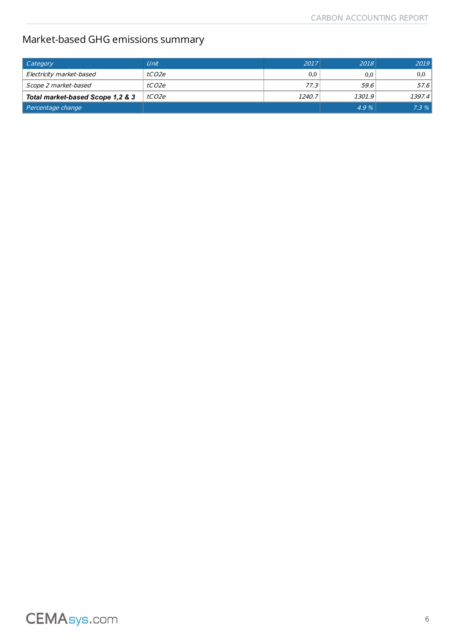### Market-based GHG emissions summary

| Category                         | Unit         | 2017   | 2018   | 2019   |
|----------------------------------|--------------|--------|--------|--------|
| Electricity market-based         | tCO2e        | 0,0    | 0,0    | 0.0    |
| Scope 2 market-based             | <i>tCO2e</i> | 77.3   | 59.6   | 57.6   |
| Total market-based Scope 1,2 & 3 | tCO2e        | 1240.7 | 1301.9 | 1397.4 |
| Percentage change                |              |        | 4.9%   | 7.3%   |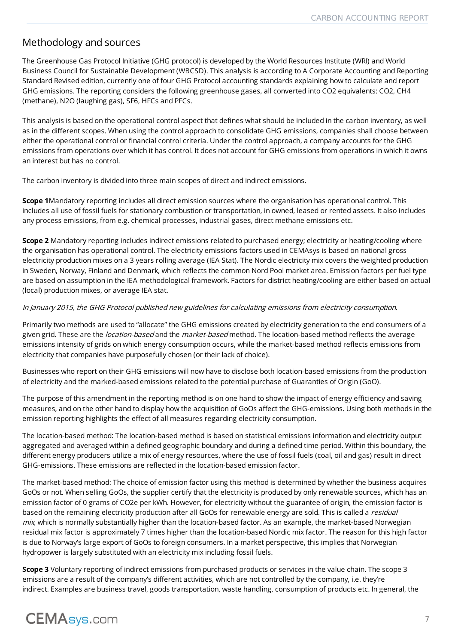#### Methodology and sources

The Greenhouse Gas Protocol Initiative (GHG protocol) is developed by the World Resources Institute (WRI) and World Business Council for Sustainable Development (WBCSD). This analysis is according to A Corporate Accounting and Reporting Standard Revised edition, currently one of four GHG Protocol accounting standards explaining how to calculate and report GHG emissions. The reporting considers the following greenhouse gases, all converted into CO2 equivalents: CO2, CH4 (methane), N2O (laughing gas), SF6, HFCs and PFCs.

This analysis is based on the operational control aspect that defines what should be included in the carbon inventory, as well as in the different scopes. When using the control approach to consolidate GHG emissions, companies shall choose between either the operational control or financial control criteria. Under the control approach, a company accounts for the GHG emissions from operations over which it has control. It does not account for GHG emissions from operations in which it owns an interest but has no control.

The carbon inventory is divided into three main scopes of direct and indirect emissions.

**Scope 1**Mandatory reporting includes all direct emission sources where the organisation has operational control. This includes all use of fossil fuels for stationary combustion or transportation, in owned, leased or rented assets. It also includes any process emissions, from e.g. chemical processes, industrial gases, direct methane emissions etc.

**Scope 2** Mandatory reporting includes indirect emissions related to purchased energy; electricity or heating/cooling where the organisation has operational control. The electricity emissions factors used in CEMAsys is based on national gross electricity production mixes on a 3 years rolling average (IEA Stat). The Nordic electricity mix covers the weighted production in Sweden, Norway, Finland and Denmark, which reflects the common Nord Pool market area. Emission factors per fuel type are based on assumption in the IEA methodological framework. Factors for district heating/cooling are either based on actual (local) production mixes, or average IEA stat.

#### In January 2015, the GHG Protocol published new guidelines for calculating emissions from electricity consumption.

Primarily two methods are used to "allocate" the GHG emissions created by electricity generation to the end consumers of a given grid. These are the *location-based* and the *market-based* method. The location-based method reflects the average emissions intensity of grids on which energy consumption occurs, while the market-based method reflects emissions from electricity that companies have purposefully chosen (or their lack of choice).

Businesses who report on their GHG emissions will now have to disclose both location-based emissions from the production of electricity and the marked-based emissions related to the potential purchase of Guaranties of Origin (GoO).

The purpose of this amendment in the reporting method is on one hand to show the impact of energy efficiency and saving measures, and on the other hand to display how the acquisition of GoOs affect the GHG-emissions. Using both methods in the emission reporting highlights the effect of all measures regarding electricity consumption.

The location-based method: The location-based method is based on statistical emissions information and electricity output aggregated and averaged within a defined geographic boundary and during a defined time period. Within this boundary, the different energy producers utilize a mix of energy resources, where the use of fossil fuels (coal, oil and gas) result in direct GHG-emissions. These emissions are reflected in the location-based emission factor.

The market-based method: The choice of emission factor using this method is determined by whether the business acquires GoOs or not. When selling GoOs, the supplier certify that the electricity is produced by only renewable sources, which has an emission factor of 0 grams of CO2e per kWh. However, for electricity without the guarantee of origin, the emission factor is based on the remaining electricity production after all GoOs for renewable energy are sold. This is called a residual  $mix$ , which is normally substantially higher than the location-based factor. As an example, the market-based Norwegian residual mix factor is approximately 7 times higher than the location-based Nordic mix factor. The reason for this high factor is due to Norway's large export of GoOs to foreign consumers. In a market perspective, this implies that Norwegian hydropower is largely substituted with an electricity mix including fossil fuels.

**Scope 3** Voluntary reporting of indirect emissions from purchased products or services in the value chain. The scope 3 emissions are a result of the company's different activities, which are not controlled by the company, i.e. they're indirect. Examples are business travel, goods transportation, waste handling, consumption of products etc. In general, the

## **CEMAsys.com**